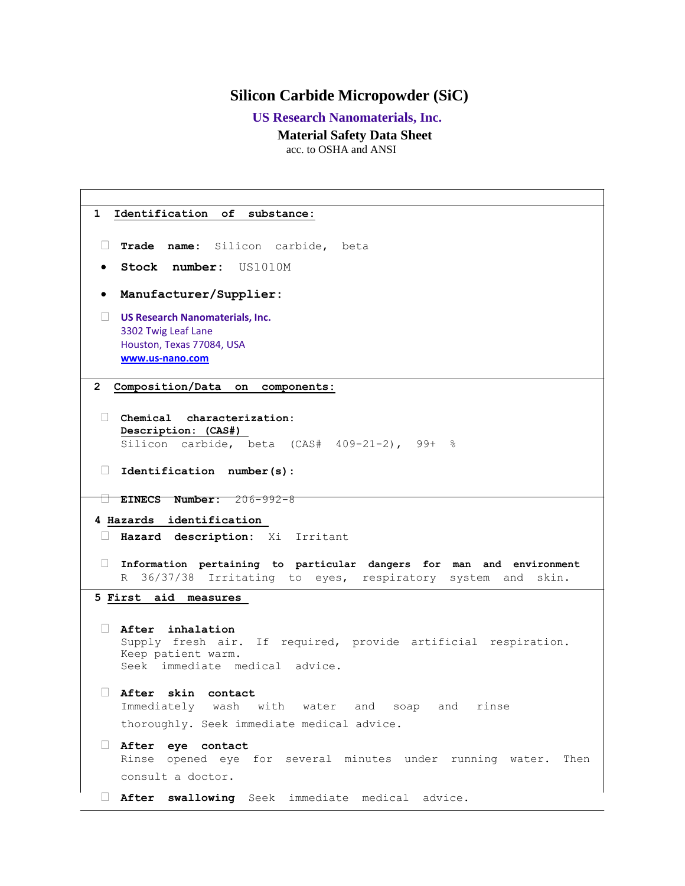## **Silicon Carbide Micropowder (SiC)**

 **US Research Nanomaterials, Inc.**

**Material Safety Data Sheet**

acc. to OSHA and ANSI

**1 Identification of substance: Trade name:** Silicon carbide, beta **Stock number:** US1010M **Manufacturer/Supplier: US Research Nanomaterials, Inc.** 3302 Twig Leaf Lane Houston, Texas 77084, USA **[www.us-nano.com](http://www.us-nano.com/) 2 Composition/Data on components: Chemical characterization: Description: (CAS#)**  Silicon carbide, beta  $(CAS# 409-21-2)$ , 99+ % **Identification number(s): EINECS Number:** 206-992-8 **4 Hazards identification Hazard description:** Xi Irritant **Information pertaining to particular dangers for man and environment**  R 36/37/38 Irritating to eyes, respiratory system and skin. **5 First aid measures After inhalation** Supply fresh air. If required, provide artificial respiration. Keep patient warm. Seek immediate medical advice. **After skin contact**  Immediately wash with water and soap and rinse thoroughly. Seek immediate medical advice. **After eye contact**  Rinse opened eye for several minutes under running water. Then consult a doctor. **After swallowing** Seek immediate medical advice.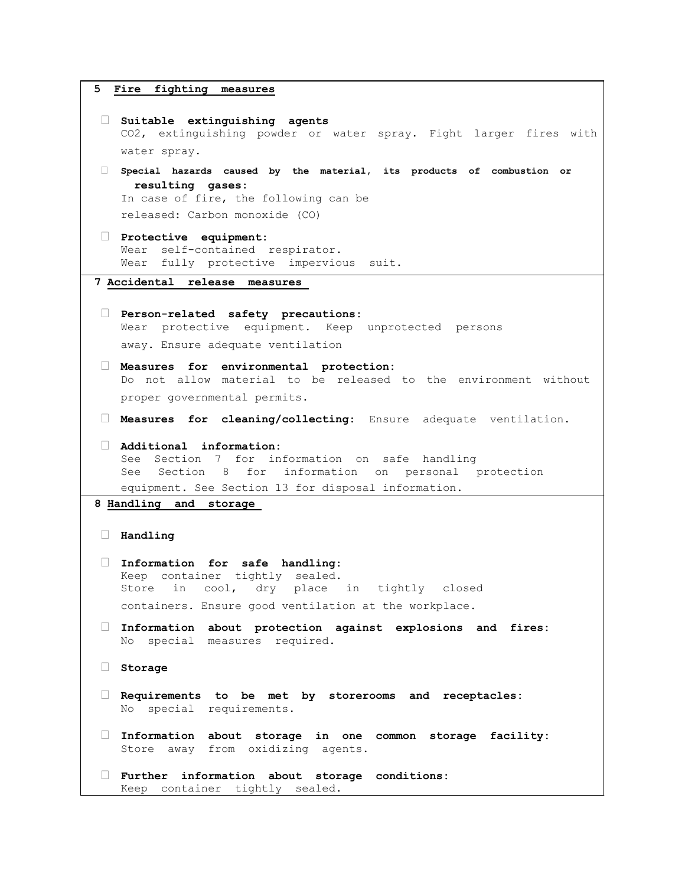```
5 Fire fighting measures
 Suitable extinguishing agents 
   CO2, extinguishing powder or water spray. Fight larger fires with 
   water spray. 
 Special hazards caused by the material, its products of combustion or 
     resulting gases:
   In case of fire, the following can be 
   released: Carbon monoxide (CO)
 Protective equipment: 
   Wear self-contained respirator. 
   Wear fully protective impervious suit. 
7 Accidental release measures 
 Person-related safety precautions: 
   Wear protective equipment. Keep unprotected persons 
   away. Ensure adequate ventilation 
 Measures for environmental protection: 
   Do not allow material to be released to the environment without 
   proper governmental permits. 
 Measures for cleaning/collecting: Ensure adequate ventilation.
 Additional information: 
   See Section 7 for information on safe handling 
   See Section 8 for information on personal protection 
   equipment. See Section 13 for disposal information. 
8 Handling and storage 
 Handling 
 Information for safe handling: 
   Keep container tightly sealed. 
   Store in cool, dry place in tightly closed 
   containers. Ensure good ventilation at the workplace. 
 Information about protection against explosions and fires: 
   No special measures required. 
 Storage 
 Requirements to be met by storerooms and receptacles: 
   No special requirements. 
 Information about storage in one common storage facility: 
   Store away from oxidizing agents. 
 Further information about storage conditions: 
   Keep container tightly sealed.
```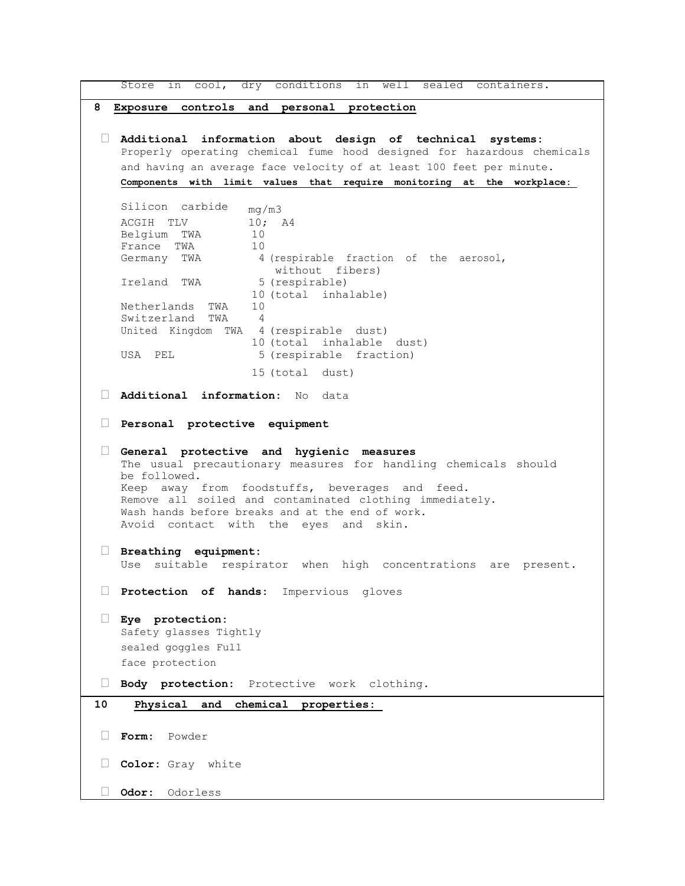Store in cool, dry conditions in well sealed containers. **8 Exposure controls and personal protection Additional information about design of technical systems:**  Properly operating chemical fume hood designed for hazardous chemicals and having an average face velocity of at least 100 feet per minute. **Components with limit values that require monitoring at the workplace:**  Silicon carbide mg/m3 ACGIH TLV 10; A4 Belgium TWA 10 France TWA 10<br>Germany TWA 4 4 (respirable fraction of the aerosol, without fibers) Ireland TWA 5 (respirable) 10 (total inhalable) Netherlands TWA 10 Switzerland TWA 4 United Kingdom TWA 4 (respirable dust) 10 (total inhalable dust) USA PEL 5 (respirable fraction) 15 (total dust) **Additional information:** No data **Personal protective equipment General protective and hygienic measures**  The usual precautionary measures for handling chemicals should be followed. Keep away from foodstuffs, beverages and feed. Remove all soiled and contaminated clothing immediately. Wash hands before breaks and at the end of work. Avoid contact with the eyes and skin. **Breathing equipment:**  Use suitable respirator when high concentrations are present. **Protection of hands:** Impervious gloves **Eye protection:**  Safety glasses Tightly sealed goggles Full face protection **Body protection:** Protective work clothing. **10 Physical and chemical properties: Form:** Powder **Color:** Gray white **Odor:** Odorless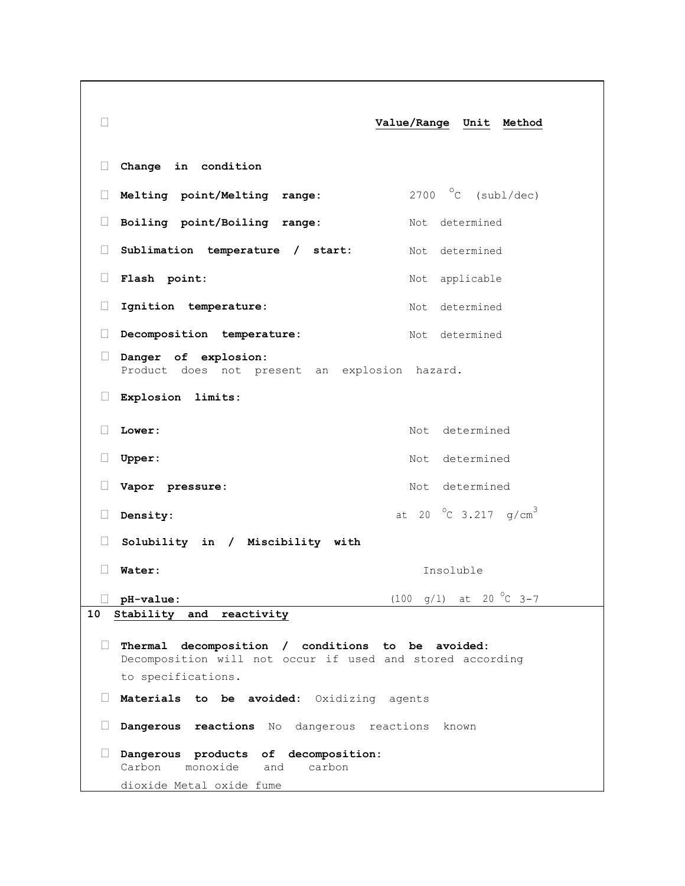**Value/Range Unit Method Change in condition Melting point/Melting range:** 2700 °C (subl/dec) **Boiling point/Boiling range:** Not determined **Sublimation temperature / start:** Not determined **Flash point:** Not applicable Ignition temperature: Not determined Decomposition temperature: Not determined **Danger of explosion:**  Product does not present an explosion hazard. **Explosion limits:**  Lower: Not determined **Upper:** Not determined **Vapor pressure:** Not determined  $\square$  **Density:** at 20  $\degree$ C 3.217 g/cm<sup>3</sup>  **Solubility in / Miscibility with Water:** Insoluble  $\Box$  **pH-value:** (100 g/l) at 20 °C 3-7 **10 Stability and reactivity Thermal decomposition / conditions to be avoided:**  Decomposition will not occur if used and stored according to specifications. **Materials to be avoided:** Oxidizing agents **Dangerous reactions** No dangerous reactions known **Dangerous products of decomposition:**  Carbon monoxide and carbon dioxide Metal oxide fume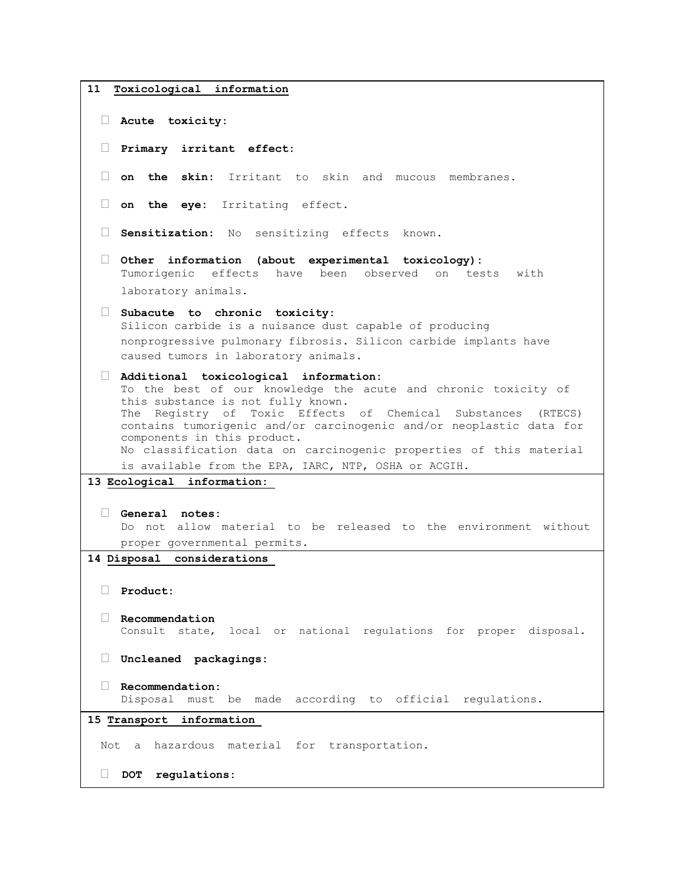```
11 Toxicological information
  Acute toxicity: 
  Primary irritant effect: 
  on the skin: Irritant to skin and mucous membranes.
  on the eye: Irritating effect.
  Sensitization: No sensitizing effects known.
  Other information (about experimental toxicology): 
    Tumorigenic effects have been observed on tests with 
    laboratory animals. 
  Subacute to chronic toxicity: 
    Silicon carbide is a nuisance dust capable of producing 
    nonprogressive pulmonary fibrosis. Silicon carbide implants have 
    caused tumors in laboratory animals. 
  Additional toxicological information: 
    To the best of our knowledge the acute and chronic toxicity of 
    this substance is not fully known. 
    The Registry of Toxic Effects of Chemical Substances (RTECS) 
    contains tumorigenic and/or carcinogenic and/or neoplastic data for 
    components in this product. 
    No classification data on carcinogenic properties of this material 
    is available from the EPA, IARC, NTP, OSHA or ACGIH. 
13 Ecological information: 
  General notes: 
    Do not allow material to be released to the environment without 
    proper governmental permits. 
14 Disposal considerations 
  Product: 
  Recommendation 
    Consult state, local or national regulations for proper disposal. 
  Uncleaned packagings: 
  Recommendation: 
    Disposal must be made according to official regulations. 
15 Transport information 
 Not a hazardous material for transportation.
  DOT regulations:
```